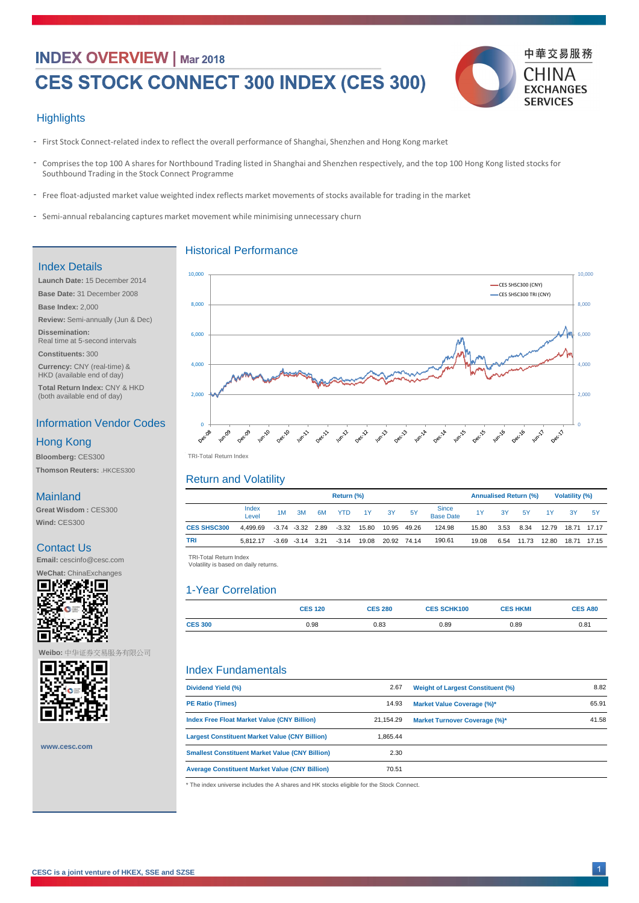# **INDEX OVERVIEW | Mar 2018**

# CES STOCK CONNECT 300 INDEX (CES 300)



#### **Highlights**

- First Stock Connect-related index to reflect the overall performance of Shanghai, Shenzhen and Hong Kong market
- Comprises the top 100 A shares for Northbound Trading listed in Shanghai and Shenzhen respectively, and the top 100 Hong Kong listed stocks for Southbound Trading in the Stock Connect Programme
- Free float-adjusted market value weighted index reflects market movements of stocks available for trading in the market
- Semi-annual rebalancing captures market movement while minimising unnecessary churn

|                    | <b>Return (%)</b> |    |                      |      |            |       | <b>Annualised Return (%)</b> |           |                                  |       | <b>Volatility (%)</b> |       |       |       |       |
|--------------------|-------------------|----|----------------------|------|------------|-------|------------------------------|-----------|----------------------------------|-------|-----------------------|-------|-------|-------|-------|
|                    | Index<br>Level    | 1M | 3M                   | 6M   | <b>YTD</b> | 1Y    | 3Y                           | <b>5Y</b> | <b>Since</b><br><b>Base Date</b> | 1Y    | 3Y                    | 5Y    | 1Y    | 3Y    | -5Y   |
| <b>CES SHSC300</b> | 4,499.69          |    | $-3.74$ $-3.32$ 2.89 |      | $-3.32$    | 15.80 | 10.95                        | 49.26     | 124.98                           | 15.80 | 3.53                  | 8.34  | 12.79 | 18.71 | 17.17 |
| <b>TRI</b>         | 5.812.17          |    | $-3.69 -3.14$        | 3.21 | $-3.14$    | 19.08 | 20.92                        | 74.14     | 190.61                           | 19.08 | 6.54                  | 11.73 | 12.80 | 18.71 | 17.15 |

|                | <b>CES 120</b> | <b>CES 280</b> | <b>CES SCHK100</b> | <b>CES HKMI</b> | <b>CES A80</b> |
|----------------|----------------|----------------|--------------------|-----------------|----------------|
| <b>CES 300</b> | 0.98           | 0.83           | 0.89               | 0.89            | 0.81           |

| Dividend Yield (%)      | 2.67  | <b>Weight of Largest Constituent (%)</b> | 8.82  |
|-------------------------|-------|------------------------------------------|-------|
| <b>PE Ratio (Times)</b> | 14.93 | <b>Market Value Coverage (%)*</b>        | 65.91 |

TRI -Total Return Index TRI-Total Return Index

 TRI -Total Return Index TRI-Total Return Index Volatility is based on daily returns. Volatility is based on daily returns.

| 1533 STRP 51 | <b>Index Free Float Market Value (CNY Billion)</b>                                       | 21,154.29 | <b>Market Turnover Coverage (%)*</b> | 41.58 |
|--------------|------------------------------------------------------------------------------------------|-----------|--------------------------------------|-------|
|              | <b>Largest Constituent Market Value (CNY Billion)</b>                                    | 1,865.44  |                                      |       |
| www.cesc.com | <b>Smallest Constituent Market Value (CNY Billion)</b>                                   | 2.30      |                                      |       |
|              | <b>Average Constituent Market Value (CNY Billion)</b>                                    | 70.51     |                                      |       |
|              | * The index universe includes the A shares and HK stocks eligible for the Stock Connect. |           |                                      |       |
|              |                                                                                          |           |                                      |       |

#### Historical Performance

# Return and Volatility

# 1-Year Correlation

## Index Fundamentals

#### Index Details

**Currency:** CNY (real-time) & HKD (available end of day)

**Total Return Index:** CNY & HKD (both available end of day)

## Information Vendor Codes

**Bloomberg:** CES300

**Thomson Reuters:** .HKCES300

## **Mainland**

## Hong Kong

**Great Wisdom :** CES300

**Wind:** CES300

## Contact Us

**Email:** cescinfo@cesc.com

**WeChat:** ChinaExchanges





**CESC is a joint venture of HKEX, SSE and SZSE**

**Weibo:** 中华证券交易服务有限公司